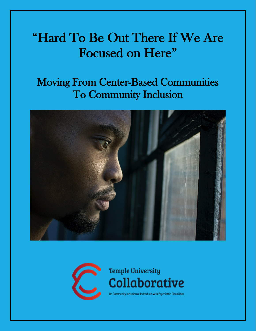# "Hard To Be Out There If We Are Focused on Here"

# Moving From Center-Based Communities To Community Inclusion





**Temple University Collaborative** On Community Inclusion of Individuals with Psychiatric Disabilities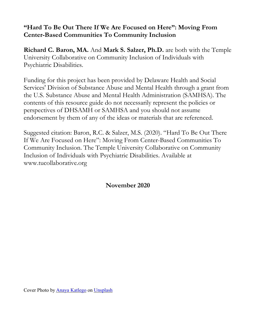## **"Hard To Be Out There If We Are Focused on Here": Moving From Center-Based Communities To Community Inclusion**

**Richard C. Baron, MA.** And **Mark S. Salzer, Ph.D.** are both with the Temple University Collaborative on Community Inclusion of Individuals with Psychiatric Disabilities.

Funding for this project has been provided by Delaware Health and Social Services' Division of Substance Abuse and Mental Health through a grant from the U.S. Substance Abuse and Mental Health Administration (SAMHSA). The contents of this resource guide do not necessarily represent the policies or perspectives of DHSAMH or SAMHSA and you should not assume endorsement by them of any of the ideas or materials that are referenced.

Suggested citation: Baron, R.C. & Salzer, M.S. (2020). "Hard To Be Out There If We Are Focused on Here": Moving From Center-Based Communities To Community Inclusion. The Temple University Collaborative on Community Inclusion of Individuals with Psychiatric Disabilities. Available at www.tucollaborative.org

**November 2020**

Cover Photo by [Anaya Katlego](https://unsplash.com/@anaya_katlego?utm_source=unsplash&utm_medium=referral&utm_content=creditCopyText) on [Unsplash](https://unsplash.com/s/photos/person-looking-out-window?utm_source=unsplash&utm_medium=referral&utm_content=creditCopyText)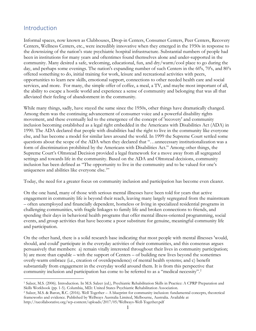#### Introduction

Informal spaces, now known as Clubhouses, Drop-in Centers, Consumer Centers, Peer Centers, Recovery Centers, Wellness Centers, etc., were incredibly innovative when they emerged in the 1950s in response to the downsizing of the nation's state psychiatric hospital infrastructure. Substantial numbers of people had been in institutions for many years and oftentimes found themselves alone and under-supported in the community. Many desired a safe, welcoming, educational, fun, and dry/warm/cool place to go during the day, and perhaps some evenings. The nation's expanding number of such Centers in the 60's, 70's, and 80's offered something to do, initial training for work, leisure and recreational activities with peers, opportunities to learn new skills, emotional support, connections to other needed health care and social services, and more. For many, the simple offer of coffee, a meal, a TV, and maybe most important of all, the ability to escape a hostile world and experience a sense of community and belonging that was all that alleviated their feeling of abandonment in the community.

While many things, sadly, have stayed the same since the 1950s, other things have dramatically changed. Among them was the continuing advancement of consumer voice and a powerful disability rights movement, and these eventually led to the emergence of the concept of 'recovery' and community inclusion becoming established as a legal right embedded in the Americans with Disabilities Act (ADA) in 1990. The ADA declared that people with disabilities had the right to live in the community like everyone else, and has become a model for similar laws around the world. In 1999 the Supreme Court settled some questions about the scope of the ADA when they declared that "…unnecessary institutionalization was a form of discrimination prohibited by the Americans with Disabilities Act." Among other things, the Supreme Court's Olmstead Decision provided a legal framework for a move away from all segregated settings and towards life in the community. Based on the ADA and Olmstead decisions, community inclusion has been defined as "The opportunity to live in the community and to be valued for one's uniqueness and abilities like everyone else.<sup>[1](#page-2-0)</sup>"

Today, the need for a greater focus on community inclusion and participation has become even clearer.

On the one hand, many of those with serious mental illnesses have been told for years that active engagement in community life is beyond their reach, leaving many largely segregated from the mainstream – often unemployed and financially dependent, homeless or living in specialized residential programs in challenging communities, with fragile linkages to family life and broken connections to friends, and spending their days in behavioral health programs that offer mental illness-oriented programming, social events, and group activities that have become a poor substitute for genuine, meaningful community life and participation.

On the other hand, there is a solid research base indicating that most people with mental illnesses 'would, should, and could' participate in the everyday activities of their communities, and this consensus argues persuasively that members: a) remain vitally interested throughout their lives in community participation; b) are more than capable – with the support of Centers – of building new lives beyond the sometimes overly-warm embrace (i.e., creation of overdependence) of mental health systems; and c) benefit substantially from engagement in the everyday world around them. It is from this perspective that community inclusion and participation has come to be referred to as a "medical necessity".<sup>[2](#page-2-1)</sup>

<span id="page-2-0"></span><sup>1</sup> Salzer, M.S. (2006). Introduction. In M.S. Salzer (ed.), Psychiatric Rehabilitation Skills in Practice: A CPRP Preparation and Skills Workbook (pp. 1-5). Columbia, MD.: United States Psychiatric Rehabilitation Association.

<span id="page-2-1"></span><sup>2</sup> Salzer, M.S. & Baron, R.C. (2016). Well Together – A blueprint for community inclusion: fundamental concepts, theoretical frameworks and evidence. Published by Wellways Australia Limited, Melbourne, Australia. Available at http://tucollaborative.org/wp-content/uploads/2017/05/Wellways-Well-Together.pdf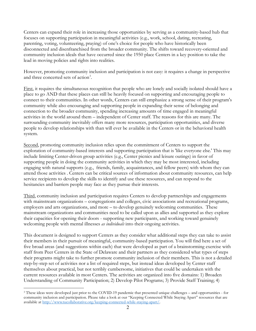Centers can expand their role in increasing those opportunities by serving as a community-based hub that focuses on supporting participation in meaningful activities (e.g., work, school, dating, recreating, parenting, voting, volunteering, praying) of one's choice for people who have historically been disconnected and disenfranchised from the broader community. The shifts toward recovery-oriented and community inclusion ideals that have occurred since the 1950 place Centers in a key position to take the lead in moving policies and rights into realities.

However, promoting community inclusion and participation is not easy: it requires a change in perspective and three concerted sets of action<sup>[3](#page-3-0)</sup>.

First, it requires the simultaneous recognition that people who are lonely and socially isolated should have a place to go AND that these places can still be heavily focused on supporting and encouraging people to connect to their communities. In other words, Centers can still emphasize a strong sense of their program's community while also encouraging and supporting people in expanding their sense of belonging and connection to the broader community, spending increasing amounts of time engaged in meaningful activities in the world around them – independent of Center staff. The reasons for this are many. The surrounding community inevitably offers many more resources, participation opportunities, and diverse people to develop relationships with than will ever be available in the Centers or in the behavioral health system.

Second, promoting community inclusion relies upon the commitment of Centers to support the exploration of community-based interests and supporting participation that is 'like everyone else.' This may include limiting Center-driven group activities (e.g., Center picnics and leisure outings) in favor of supporting people in doing the community activities in which they may be most interested, including engaging with natural supports (e.g., friends, family, acquaintances, and fellow peers) with whom they can attend those activities . Centers can be critical sources of information about community resources, can help service recipients to develop the skills to identify and use these resources, and can respond to the hesitancies and barriers people may face as they pursue their interests.

Third, community inclusion and participation requires Centers to develop partnerships and engagements with mainstream organizations – congregations and colleges, civic associations and recreational programs, employers and arts organizations, and more – to develop genuinely welcoming communities. These mainstream organizations and communities need to be called upon as allies and supported as they explore their capacities for opening their doors - supporting new participants, and working toward genuinely welcoming people with mental illnesses *as individuals* into their ongoing activities.

This document is designed to support Centers as they consider what additional steps they can take to assist their members in their pursuit of meaningful, community-based participation. You will find here a set of five broad areas (and suggestions within each) that were developed as part of a brainstorming exercise with staff from Peer Centers in the State of Delaware and their partners as they considered what types of steps their programs might take to further promote community inclusion of their members. This is not a detailed step-by-step set of activities nor a list of required steps, but instead ideas developed by Center staff themselves about practical, but not terribly cumbersome, initiatives that could be undertaken with the current resources available in most Centers. The activities are organized into five domains: 1) Broaden Understanding of Community Participation; 2) Develop Pilot Programs; 3) Provide Staff Training; 4)

<span id="page-3-0"></span><sup>3</sup> These ideas were developed just prior to the COVID-19 pandemic that presented unique challenges – and opportunities - for community inclusion and participation. Please take a look at our "Keeping Connected While Staying Apart" resources that are available at [http://www.tucollaborative.org/keeping-connected-while-staying-apart/.](http://www.tucollaborative.org/keeping-connected-while-staying-apart/)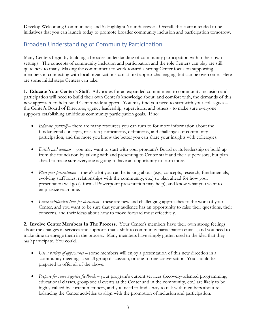Develop Welcoming Communities; and 5) Highlight Your Successes. Overall, these are intended to be initiatives that you can launch today to promote broader community inclusion and participation tomorrow.

# Broaden Understanding of Community Participation

Many Centers begin by building a broader understanding of community participation within their own settings. The concepts of community inclusion and participation and the role Centers can play are still quite new to many. Making the commitment to work toward a strong Center focus on supporting members in connecting with local organizations can at first appear challenging, but can be overcome. Here are some initial steps Centers can take:

**1. Educate Your Center's Staff.** Advocates for an expanded commitment to community inclusion and participation will need to build their own Center's knowledge about, and comfort with, the demands of this new approach, to help build Center-wide support. You may find you need to start with your colleagues – the Center's Board of Directors, agency leadership, supervisors, and others - to make sure everyone supports establishing ambitious community participation goals. If so:

- *Educate yourself* there are many resources you can turn to for more information about the fundamental concepts, research justifications, definitions, and challenges of community participation, and the more you know the better you can share your insights with colleagues.
- *Divide and conquer* you may want to start with your program's Board or its leadership or build up from the foundation by talking with and presenting to Center staff and their supervisors, but plan ahead to make sure everyone is going to have an opportunity to learn more.
- *Plan your presentation* there's a lot you can be talking about (e.g., concepts, research, fundamentals, evolving staff roles, relationships with the community, etc.) so plan ahead for how your presentation will go (a formal Powerpoint presentation may help), and know what you want to emphasize each time.
- *Leave substantial time for discussion -* these are new and challenging approaches to the work of your Center, and you want to be sure that your audience has an opportunity to raise their questions, their concerns, and their ideas about how to move forward most effectively.

**2. Involve Center Members In The Process.** Your Center's members have their own strong feelings about the changes in services and supports that a shift to community participation entails, and you need to make time to engage them in the process. Many members have simply gotten used to the idea that they *can't* participate. You could…

- *Use a variety of approaches* some members will enjoy a presentation of this new direction in a 'community meeting,' a small group discussion, or one-to-one conversation. You should be prepared to offer all of the above.
- *Prepare for some negative feedback* your program's current services (recovery-oriented programming, educational classes, group social events at the Center and in the community, etc.) are likely to be highly valued by current members, and you need to find a way to talk with members about rebalancing the Center activities to align with the promotion of inclusion and participation.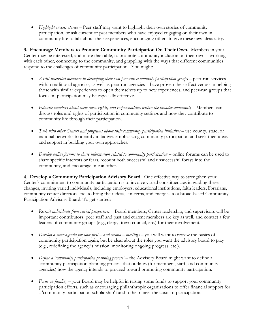• *Highlight success stories* – Peer staff may want to highlight their own stories of community participation, or ask current or past members who have enjoyed engaging on their own in community life to talk about their experiences, encouraging others to give these new ideas a try.

**3. Encourage Members to Promote Community Participation On Their Own.** Members in your Center may be interested, and more than able, to promote community inclusion on their own – working with each other, connecting to the community, and grappling with the ways that different communities respond to the challenges of community participation. You might:

- *Assist interested members in developing their own peer-run community participation groups* peer-run services within traditional agencies, as well as peer-run agencies – have proven their effectiveness in helping those with similar experiences to open themselves up to new experiences, and peer-run groups that focus on participation may be especially effective.
- *Educate members about their roles, rights, and responsibilities within the broader community –* Members can discuss roles and rights of participation in community settings and how they contribute to community life through their participation.
- *Talk with other Centers and programs about their community participation initiatives* use county, state, or national networks to identify initiatives emphasizing community participation and seek their ideas and support in building your own approaches.
- *Develop online forums to share information related to community participation* online forums can be used to share specific interests or fears, recount both successful and unsuccessful forays into the community, and encourage one another.

**4. Develop a Community Participation Advisory Board.** One effective way to strengthen your Center's commitment to community participation is to involve varied constituencies in guiding these changes, inviting varied individuals, including employers, educational institutions, faith leaders, librarians, community center directors, etc. to bring their ideas, concerns, and energies to a broad-based Community Participation Advisory Board. To get started:

- *Recruit individuals from varied perspectives –* Board members, Center leadership, and supervisors will be important contributors; peer staff and past and current members are key as well, and contact a few leaders of community groups (e.g., clergy, town council, etc.) for their involvement.
- *Develop a clear agenda for your first – and second – meetings –* you will want to review the basics of community participation again, but be clear about the roles you want the advisory board to play (e.g., redefining the agency's mission; monitoring ongoing progress; etc.).
- *Define a 'community participation planning process'* the Advisory Board might want to define a 'community participation planning process that outlines (for members, staff, and community agencies) how the agency intends to proceed toward promoting community participation.
- *Focus on funding –* your Board may be helpful in raising some funds to support your community participation efforts, such as encouraging philanthropic organizations to offer financial support for a 'community participation scholarship' fund to help meet the costs of participation.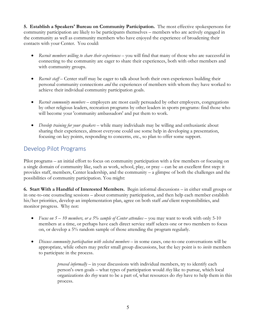**5. Establish a Speakers' Bureau on Community Participation.** The most effective spokespersons for community participation are likely to be participants themselves – members who are actively engaged in the community as well as community members who have enjoyed the experience of broadening their contacts with your Center. You could:

- *Recruit members willing to share their experiences –* you will find that many of those who are successful in connecting to the community are eager to share their experiences, both with other members and with community groups.
- *Recruit staff* Center staff may be eager to talk about both their own experiences building their personal community connections *and* the experiences of members with whom they have worked to achieve their individual community participation goals.
- *Recruit community members* employers are most easily persuaded by other employers, congregations by other religious leaders, recreation programs by other leaders in sports programs: find those who will become your 'community ambassadors' and put them to work.
- *Develop training for your speakers –* while many individuals may be willing and enthusiastic about sharing their experiences, almost everyone could use some help in developing a presentation, focusing on key points, responding to concerns, etc., so plan to offer some support.

### Develop Pilot Programs

Pilot programs – an initial effort to focus on community participation with a few members or focusing on a single domain of community like, such as work, school, play, or pray – can be an excellent first step: it provides staff, members, Center leadership, and the community – a glimpse of both the challenges and the possibilities of community participation. You might:

**6. Start With a Handful of Interested Members.** Begin informal discussions – in either small groups or in one-to-one counseling sessions – about community participation, and then help each member establish his/her priorities, develop an implementation plan, agree on both staff *and* client responsibilities, and monitor progress. Why not:

- *Focus on 5 – 10 members, or a 5% sample of Center attendees –* you may want to work with only 5-10 members at a time, or perhaps have each direct service staff selects one or two members to focus on, or develop a 5% random sample of those attending the program regularly.
- *Discuss community participation with selected members –* in some cases, one-to-one conversations will be appropriate, while others may prefer small group discussions, but the key point is to *invite* members to participate in the process.

*proceed informally –* in your discussions with individual members, try to identify each person's own goals – what types of participation would *they* like to pursue, which local organizations do *they* want to be a part of, what resources do *they* have to help them in this process.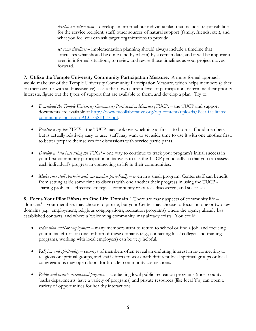*develop an action plan –* develop an informal but individua plan that includes responsibilities for the service recipient, staff, other sources of natural support (family, friends, etc.), and what you feel you can ask target organizations to provide.

*set some timelines –* implementation planning should always include a timeline that articulates what should be done (and by whom) by a certain date, and it will be important, even in informal situations, to review and revise those timelines as your project moves forward.

**7. Utilize the Temple University Community Participation Measure.** A more formal approach would make use of the Temple University Community Participation Measure, which helps members (either on their own or with staff assistance) assess their own current level of participation, determine their priority interests, figure out the types of support that are available to them, and develop a plan. Try to:

- *Download the Temple University Community Participation Measure (TUCP) –* the TUCP and support documents are available at [http://www.tucollaborative.org/wp-content/uploads/Peer-facilitated](http://www.tucollaborative.org/wp-content/uploads/Peer-facilitated-community-inclusion-ACCESSIBLE.pdf)[community-inclusion-ACCESSIBLE.pdf.](http://www.tucollaborative.org/wp-content/uploads/Peer-facilitated-community-inclusion-ACCESSIBLE.pdf)
- *Practice using the TUCP* the TUCP may look overwhelming at first to both staff and members but is actually relatively easy to use: staff may want to set aside time to use it with one another first, to better prepare themselves for discussions with service participants.
- *Develop a data base using the TUCP* one way to continue to track your program's initial success in your first community participation initiative is to use the TUCP periodically so that you can assess each individual's progress in connecting to life in their communities.
- *Make sure staff check-in with one another periodically* even in a small program, Center staff can benefit from setting aside some time to discuss with one another their progress in using the TUCP sharing problems, effective strategies, community resources discovered, and successes.

**8. Focus Your Pilot Efforts on One Life 'Domain.'** There are many aspects of community life – 'domains' – your members may choose to pursue, but your Center may choose to focus on one or two key domains (e.g., employment, religious congregations, recreation programs) where the agency already has established contacts, and where a 'welcoming community' may already exists. You could:

- *Education and/or employment* many members want to return to school or find a job, and focusing your initial efforts on one or both of these domains (e.g., contacting local colleges and training programs, working with local employers) can be very helpful.
- *Religion and spirituality –* surveys of members often reveal an enduring interest in re-connecting to religious or spiritual groups, and staff efforts to work with different local spiritual groups or local congregations may open doors for broader community connections.
- *Public and private recreational programs* contacting local public recreation programs (most county 'parks departments' have a variety of programs) and private resources (like local Y's) can open a variety of opportunities for healthy interactions.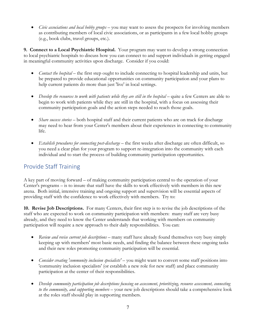• *Civic associations and local hobby groups –* you may want to assess the prospects for involving members as contributing members of local civic associations, or as participants in a few local hobby groups (e.g., book clubs, travel groups, etc.).

**9. Connect to a Local Psychiatric Hospital.** Your program may want to develop a strong connection to local psychiatric hospitals to discuss how you can connect to and support individuals in getting engaged in meaningful community activities upon discharge. Consider if you could:

- *Contact the hospital* the first step ought to include connecting to hospital leadership and units, but be prepared to provide educational opportunities on community participation and your plans to help current patients do more than just 'live' in local settings.
- *Develop the resources to work with patients while they are still in the hospital* quite a few Centers are able to begin to work with patients while they are still in the hospital, with a focus on assessing their community participation goals and the action steps needed to reach those goals.
- *Share success stories –* both hospital staff and their current patients who are on track for discharge may need to hear from your Center's members about their experiences in connecting to community life.
- *Establish procedures for connecting post-discharge –* the first weeks after discharge are often difficult, so you need a clear plan for your program to support re-integration into the community with each individual and to start the process of building community participation opportunities.

#### Provide Staff Training

A key part of moving forward – of making community participation central to the operation of your Center's programs – is to insure that staff have the skills to work effectively with members in this new arena. Both initial, intensive training and ongoing support and supervision will be essential aspects of providing staff with the confidence to work effectively with members. Try to:

**10. Revise Job Descriptions.** For many Centers, their first step is to revise the job descriptions of the staff who are expected to work on community participation with members: many staff are very busy already, and they need to know the Center understands that working with members on community participation will require a new approach to their daily responsibilities. You can:

- *Review and revise current job descriptions* many staff have already found themselves very busy simply keeping up with members' most basic needs, and finding the balance between these ongoing tasks and their new roles promoting community participation will be essential.
- *Consider creating 'community inclusion specialists'* you might want to convert some staff positions into 'community inclusion specialists' (or establish a new role for new staff) and place community participation at the center of their responsibilities.
- *Develop community participation job descriptions focusing on assessment, prioritizing, resource assessment, connecting to the community, and supporting members –* your new job descriptions should take a comprehensive look at the roles staff should play in supporting members.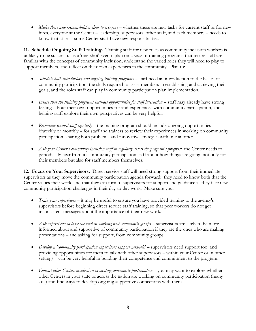• *Make these new responsibilities clear to everyone –* whether these are new tasks for current staff or for new hires, everyone at the Center – leadership, supervisors, other staff, and each members – needs to know that at least some Center staff have new responsibilities.

**11. Schedule Ongoing Staff Training.** Training staff for new roles as community inclusion workers is unlikely to be successful as a 'one-shot' event: plan on a *series* of training programs that insure staff are familiar with the concepts of community inclusion, understand the varied roles they will need to play to support members, and reflect on their own experiences in the community. Plan to:

- *Schedule both introductory and ongoing training programs* staff need an introduction to the basics of community participation, the skills required to assist members in establishing and achieving their goals, and the roles staff can play in community participation plan implementation.
- *Insure that the training programs includes opportunities for staff interaction* staff may already have strong feelings about their own opportunities for and experiences with community participation, and helping staff explore their own perspectives can be very helpful.
- *Reconvene trained staff regularly* the training program should include ongoing opportunities biweekly or monthly – for staff and trainers to review their experiences in working on community participation, sharing both problems and innovative strategies with one another.
- *Ask your Center's community inclusion staff to regularly assess the program's progress:* the Center needs to periodically hear from its community participation staff about how things are going, not only for their members but also for staff members themselves.

**12. Focus on Your Supervisors.** Direct service staff will need strong support from their immediate supervisors as they move the community participation agenda forward: they need to know both that the Center values their work, and that they can turn to supervisors for support and guidance as they face new community participation challenges in their day-to-day work. Make sure you:

- *Train your supervisors* it may be useful to ensure you have provided training to the agency's supervisors before beginning direct service staff training, so that peer workers do not get inconsistent messages about the importance of their new work.
- *Ask supervisors to take the lead in working with community groups* supervisors are likely to be more informed about and supportive of community participation if they are the ones who are making presentations – and asking for support, from community groups.
- *Develop a 'community participation supervisors support network' –* supervisors need support too, and providing opportunities for them to talk with other supervisors – within your Center or in other settings – can be very helpful in building their competence and commitment to the program.
- *Contact other Centers involved in promoting community participation* you may want to explore whether other Centers in your state or across the nation are working on community participation (many are!) and find ways to develop ongoing supportive connections with them.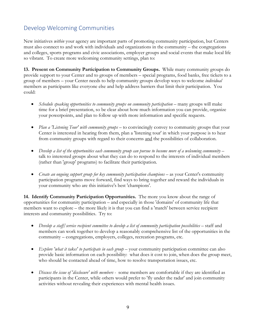# Develop Welcoming Communities

New initiatives *within* your agency are important parts of promoting community participation, but Centers must also connect to and work with individuals and organizations in the community – the congregations and colleges, sports programs and civic associations, employer groups and social events that make local life so vibrant. To create more welcoming community settings, plan to:

**13. Present on Community Participation to Community Groups.** While many community groups do provide support to your Center and to groups of members – special programs, food banks, free tickets to a group of members – your Center needs to help community groups develop ways to welcome *individual*  members as participants like everyone else and help address barriers that limit their participation. You could:

- *Schedule speaking opportunities to community groups on community participation* many groups will make time for a brief presentation, so be clear about how much information you can provide, organize your powerpoints, and plan to follow up with more information and specific requests.
- *Plan a 'Listening Tour' with community groups –* to convincingly convey to community groups that your Center is interested in hearing from them, plan a 'listening tour' in which your purpose is to hear from community groups with regard to their concerns and the possibilities of collaboration.
- *Develop a list of the opportunities each community group can pursue to become more of a welcoming community –* talk to interested groups about what they can do to respond to the interests of individual members (rather than 'group' programs) to facilitate their participation.
- *Create an ongoing support group for key community participation champions* as your Center's community participation programs move forward, find ways to bring together and reward the individuals in your community who are this initiative's best 'champions'.

**14. Identify Community Participation Opportunities.** The more you know about the range of opportunities for community participation – and especially in those 'domains' of community life that members want to explore – the more likely it is that you can find a 'match' between service recipient interests and community possibilities. Try to:

- *Develop a staff/service recipient committee to develop a list of community participation possibilities –* staff and members can work together to develop a reasonably comprehensive list of the opportunities in the community – congregations, employers, colleges, recreation programs, etc.
- *Explore 'what it takes' to participate in each group –* your community participation committee can also provide basic information on each possibility: what does it cost to join, when does the group meet, who should be contacted ahead of time, how to resolve transportation issues, etc.
- *Discuss the issue of 'disclosure' with members -* some members are comfortable if they are identified as participants in the Center, while others would prefer to 'fly under the radar' and join community activities without revealing their experiences with mental health issues.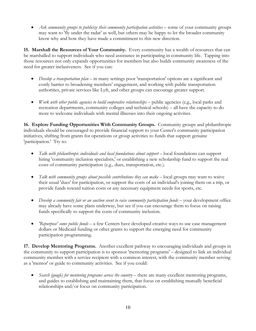• *Ask community groups to publicize their community participation activities* – some of your community groups may want to 'fly under the radar' as well, but others may be happy to let the broader community know why and how they have made a commitment to this new direction.

**15. Marshall the Resources of Your Community.** Every community has a wealth of resources that can be marshalled to support individuals who need assistance in participating in community life. Tapping into those resources not only expands opportunities for members but also builds community awareness of the need for greater inclusiveness. See if you can:

- *Develop a transportation plan –* in many settings poor 'transportation' options are a significant and costly barrier to broadening members' engagement, and working with public transportation authorities, private services like Lyft, and other groups can encourage greater support.
- *Work with other public agencies to build cooperative relationships* public agencies (e.g., local parks and recreation departments, community colleges and technical schools) – all have the capacity to do more to welcome individuals with mental illnesses into their ongoing activities.

**16. Explore Funding Opportunities With Community Groups.** Community groups and philanthropic individuals should be encouraged to provide financial support to your Center's community participation initiatives, shifting from grants for operations or group activities to funds that support genuine 'participation.' Try to:

- *Talk with philanthropic individuals and local foundations about support* local foundations can support hiring 'community inclusion specialists,' or establishing a new scholarship fund to support the real costs of community participation (e.g., dues, transportation, etc.).
- *Talk with community groups about possible contributions they can make* local groups may want to waive their usual 'dues' for participation, or support the costs of an individual's joining them on a trip, or provide funds toward tuition costs or any necessary equipment needs for sports, etc.
- *Develop a community fair or an auction event to raise community participation funds* your development office may already have some plans underway, but see if you can encourage them to focus on raising funds specifically to support the costs of community inclusion.
- *'Repurpose' some public funds –* a few Centers have developed creative ways to use case management dollars or Medicaid funding or other grants to support the emerging need for community participation programming.

**17. Develop Mentoring Programs.** Another excellent pathway to encouraging individuals and groups in the community to support participation is to sponsor 'mentoring programs' – designed to link an individual community member with a service recipient with a common interest, with the community member serving as a 'mentor' or guide to community activities. See if you could:

• *Search (google) for mentoring programs across the country* – there are many excellent mentoring programs, and guides to establishing and maintaining them, that focus on establishing mutually beneficial relationships and/or focus on community participation.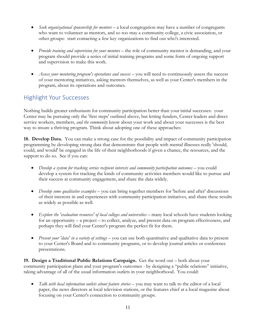- *Seek organizational sponsorship for mentors –* a local congregation may have a number of congregants who want to volunteer as mentors, and so too may a community college, a civic association, or other groups: start contacting a few key organizations to find out who's interested.
- *Provide training and supervision for your mentors* the role of community mentor is demanding, and your program should provide a series of initial training programs and some form of ongoing support and supervision to make this work.
- *Assess your mentoring program's operations and success* you will need to continuously assess the success of your mentoring initiatives, asking mentors themselves, as well as your Center's members in the program, about its operations and outcomes.

#### Highlight Your Successes

Nothing builds greater enthusiasm for community participation better than your initial successes: your Center may be pursuing only the 'first steps' outlined above, but letting funders, Center leaders and direct service workers, members, *and the community* know about your work and about your successes is the best way to insure a thriving program. Think about adopting one of these approaches:

**18. Develop Data.** You can make a strong case for the possibility and impact of community participation programming by developing strong data that demonstrate that people with mental illnesses really 'should, could, and would' be engaged in the life of their neighborhoods if given a chance, the resources, and the support to do so. See if you can:

- *Develop a system for tracking service recipient interests and community participation outcomes –* you could develop a system for tracking the kinds of community activities members would like to pursue and their success at community engagement, and share the data widely.
- *Develop some qualitative examples* you can bring together members for 'before and after' discussions of their interests in and experiences with community participation initiatives, and share these results as widely as possible as well.
- *Explore the 'evaluation resources' of local colleges and universities –* many local schools have students looking for an opportunity – a project – to collect, analyze, and present data on program effectiveness, and perhaps they will find your Center's program the perfect fit for them.
- *Present your 'data' in a variety of settings* you can use both quantitative and qualitative data to present to your Center's Board and to community programs, or to develop journal articles or conference presentations.

**19. Design a Traditional Public Relations Campaign.** Get the word out – both about your community participation plans and your program's outcomes - by designing a "public relations" initiative, taking advantage of all of the usual information outlets in your neighborhood. You could:

• *Talk with local information outlets about feature stories* – you may want to talk to the editor of a local paper, the news directors at local television stations, or the features chief at a local magazine about focusing on your Center's connection to community groups.